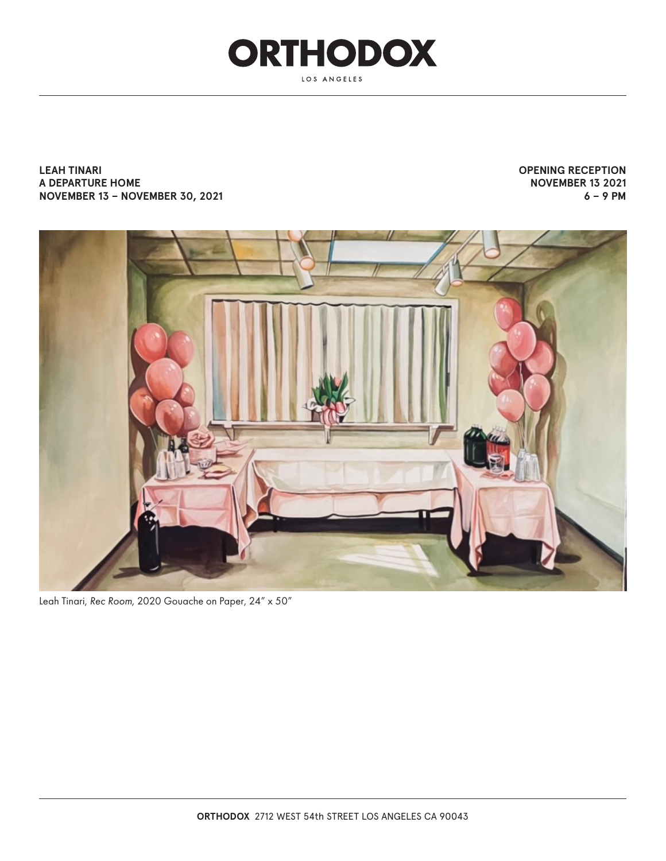

**LEAH TINARI A DEPARTURE HOME NOVEMBER 13 – NOVEMBER 30, 2021** **OPENING RECEPTION NOVEMBER 13 2021 6 – 9 PM**



Leah Tinari, *Rec Room*, 2020 Gouache on Paper, 24" x 50"